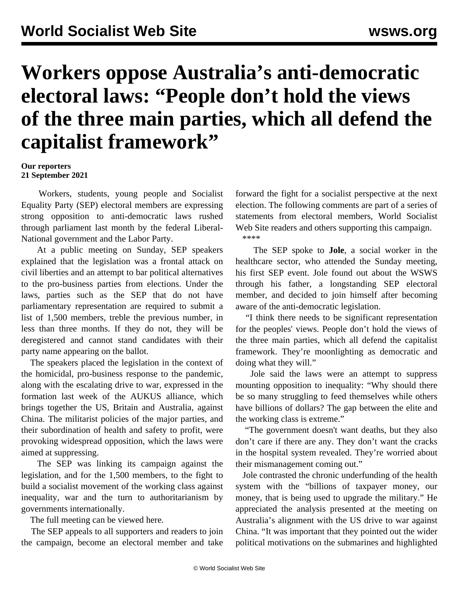## **Workers oppose Australia's anti-democratic electoral laws: "People don't hold the views of the three main parties, which all defend the capitalist framework"**

## **Our reporters 21 September 2021**

 Workers, students, young people and Socialist Equality Party (SEP) electoral members are expressing strong opposition to anti-democratic laws rushed through parliament last month by the federal Liberal-National government and the Labor Party.

 At a public meeting on Sunday, SEP speakers explained that the legislation was a frontal attack on civil liberties and an attempt to bar political alternatives to the pro-business parties from elections. Under the laws, parties such as the SEP that do not have parliamentary representation are required to submit a list of 1,500 members, treble the previous number, in less than three months. If they do not, they will be deregistered and cannot stand candidates with their party name appearing on the ballot.

 The speakers placed the legislation in the context of the homicidal, pro-business response to the pandemic, along with the escalating drive to war, expressed in the formation last week of the AUKUS alliance, which brings together the US, Britain and Australia, against China. The militarist policies of the major parties, and their subordination of health and safety to profit, were provoking widespread opposition, which the laws were aimed at suppressing.

 The SEP was linking its campaign against the legislation, and for the 1,500 members, to the fight to build a socialist movement of the working class against inequality, war and the turn to authoritarianism by governments internationally.

The full meeting can be viewed [here.](/en/articles/2021/09/21/sepm-s21.html)

 The SEP appeals to all supporters and readers to join the campaign, become an [electoral](/en/special/pages/sep/australia/home.html#emjoin) member and take

forward the fight for a socialist perspective at the next election. The following comments are part of a series of statements from electoral members, World Socialist Web Site readers and others supporting this campaign. \*\*\*\*

 The SEP spoke to **Jole**, a social worker in the healthcare sector, who attended the Sunday meeting, his first SEP event. Jole found out about the WSWS through his father, a longstanding SEP electoral member, and decided to join himself after becoming aware of the anti-democratic legislation.

 "I think there needs to be significant representation for the peoples' views. People don't hold the views of the three main parties, which all defend the capitalist framework. They're moonlighting as democratic and doing what they will."

 Jole said the laws were an attempt to suppress mounting opposition to inequality: "Why should there be so many struggling to feed themselves while others have billions of dollars? The gap between the elite and the working class is extreme."

 "The government doesn't want deaths, but they also don't care if there are any. They don't want the cracks in the hospital system revealed. They're worried about their mismanagement coming out."

 Jole contrasted the chronic underfunding of the health system with the "billions of taxpayer money, our money, that is being used to upgrade the military." He appreciated the analysis presented at the meeting on Australia's alignment with the US drive to war against China. "It was important that they pointed out the wider political motivations on the submarines and highlighted